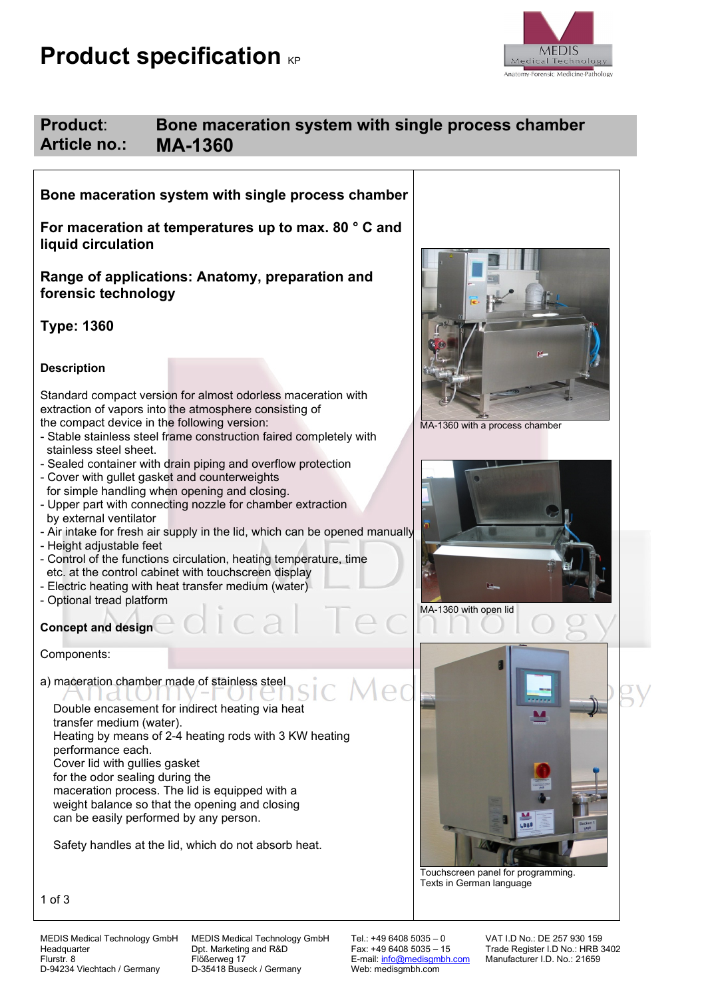# **Product specification KP**



# **Product**: **Bone maceration system with single process chamber Article no.: MA-1360**

**Bone maceration system with single process chamber** 

**For maceration at temperatures up to max. 80 ° C and liquid circulation**

**Range of applications: Anatomy, preparation and forensic technology**

**Type: 1360**

## **Description**

Standard compact version for almost odorless maceration with extraction of vapors into the atmosphere consisting of the compact device in the following version:

- Stable stainless steel frame construction faired completely with stainless steel sheet.
- Sealed container with drain piping and overflow protection
- Cover with gullet gasket and counterweights for simple handling when opening and closing.
- Upper part with connecting nozzle for chamber extraction by external ventilator
- Air intake for fresh air supply in the lid, which can be opened manually
- Height adjustable feet
- Control of the functions circulation, heating temperature, time etc. at the control cabinet with touchscreen display
- Electric heating with heat transfer medium (water)
- Optional tread platform

# **Concept and design**

Components:

a) maceration chamber made of stainless steel

<u>idioni</u> Double encasement for indirect heating via heat transfer medium (water). Heating by means of 2-4 heating rods with 3 KW heating performance each. Cover lid with gullies gasket for the odor sealing during the maceration process. The lid is equipped with a weight balance so that the opening and closing can be easily performed by any person.

Safety handles at the lid, which do not absorb heat.







Texts in German language

1 of 3

MEDIS Medical Technology GmbH MEDIS Medical Technology GmbH Tel.: +49 6408 5035 – 0 VAT I.D No.: DE 257 930 159<br>Headquarter Trade Register I.D No.: HRB 3 Flurstr. 8 Flößerweg 17 Flößerweg 17 Flößerweg 17 Flüßerweg 17 E-mail: <u>info@medisgmbh.com</u> Manufacturer I.D. No.: 21659<br>E-mail: <u>info@medisgmbh.com</u> Manufacturer I.D. No.: 21659<br>D-94234 Viechtach / Germany D-35418 Buseck

Flößerweg 17<br>D-35418 Buseck / Germany

Trade Register I.D No.: HRB 3402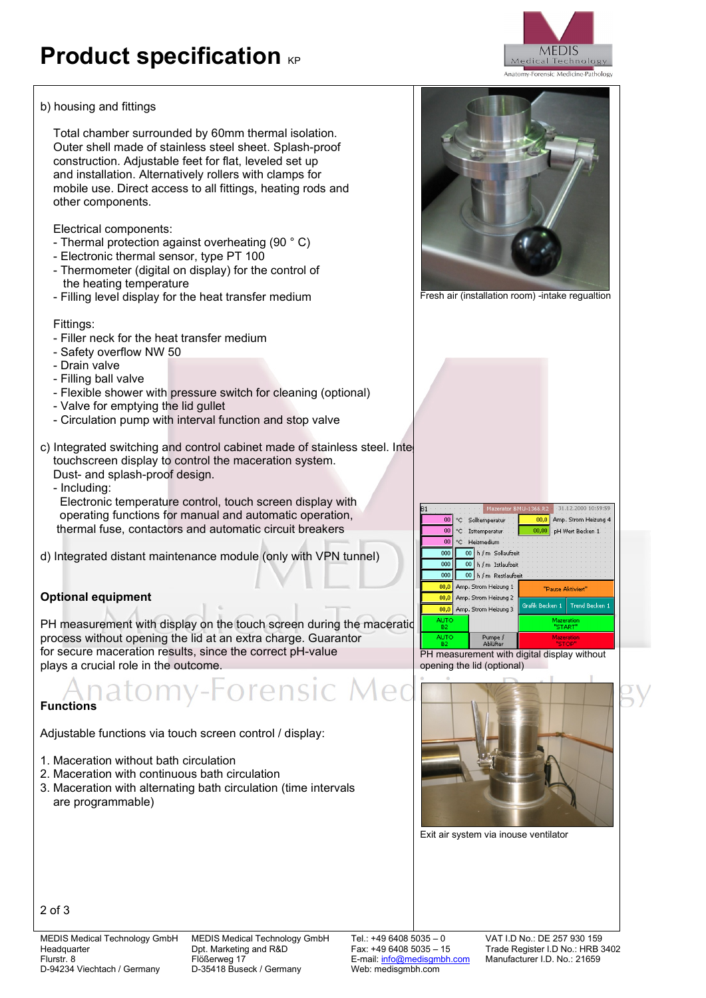# **Product specification KP**

## b) housing and fittings

 Total chamber surrounded by 60mm thermal isolation. Outer shell made of stainless steel sheet. Splash-proof construction. Adjustable feet for flat, leveled set up and installation. Alternatively rollers with clamps for mobile use. Direct access to all fittings, heating rods and other components.

Electrical components:

- Thermal protection against overheating (90 ° C)
- Electronic thermal sensor, type PT 100
- Thermometer (digital on display) for the control of the heating temperature
- Filling level display for the heat transfer medium

Fittings:

- Filler neck for the heat transfer medium
- Safety overflow NW 50
- Drain valve
- Filling ball valve
- Flexible shower with pressure switch for cleaning (optional)
- Valve for emptying the lid gullet
- Circulation pump with interval function and stop valve
- c) Integrated switching and control cabinet made of stainless steel. Inte touchscreen display to control the maceration system. Dust- and splash-proof design.
	- Including:

 Electronic temperature control, touch screen display with operating functions for manual and automatic operation, thermal fuse, contactors and automatic circuit breakers

d) Integrated distant maintenance module (only with VPN tunnel)

# **Optional equipment**

PH measurement with display on the touch screen during the maceratid process without opening the lid at an extra charge. Guarantor for secure maceration results, since the correct pH-value plays a crucial role in the outcome.

rensic Med

# **Functions**

Adjustable functions via touch screen control / display:

- 1. Maceration without bath circulation
- 2. Maceration with continuous bath circulation
- 3. Maceration with alternating bath circulation (time intervals are programmable)





Fresh air (installation room) -intake regualtion



PH measurement with digital display without opening the lid (optional)



Exit air system via inouse ventilator

2 of 3

Flößerweg 17<br>D-35418 Buseck / Germany